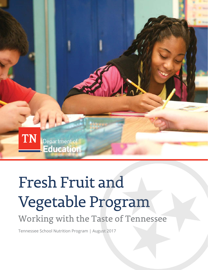

# Fresh Fruit and Vegetable Program

# Working with the Taste of Tennessee

Tennessee School Nutrition Program | August 2017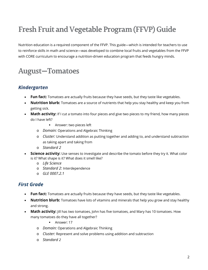# **Fresh Fruit and Vegetable Program(FFVP)Guide**

Nutrition education is a required component of the FFVP. This guide—which is intended for teachers to use to reinforce skills in math and science—was developed to combine local fruits and vegetables from the FFVP with CORE curriculum to encourage a nutrition-driven education program that feeds hungry minds.

# **August—Tomatoes**

#### *Kindergarten*

- **Fun fact:** Tomatoes are actually fruits because they have seeds, but they taste like vegetables.
- **Nutrition blurb:** Tomatoes are a source of nutrients that help you stay healthy and keep you from getting sick.
- **Math activity:** If I cut a tomato into four pieces and give two pieces to my friend, how many pieces do I have left?
	- **Answer: two pieces left**
	- o *Domain:* Operations and Algebraic Thinking
	- o *Cluster:* Understand addition as putting together and adding to, and understand subtraction as taking apart and taking from
	- o *Standard 2*
- **Science activity:** Use senses to investigate and describe the tomato before they try it. What color is it? What shape is it? What does it smell like?
	- o *Life Science*
	- o *Standard 2*: Interdependence
	- o *GLE 0007.2.1*

#### *First Grade*

- **Fun fact:** Tomatoes are actually fruits because they have seeds, but they taste like vegetables.
- **Nutrition blurb:** Tomatoes have lots of vitamins and minerals that help you grow and stay healthy and strong.
- **Math activity:** Jill has two tomatoes, John has five tomatoes, and Mary has 10 tomatoes. How many tomatoes do they have all together?
	- **Answer: 17**
	- o *Domain:* Operations and Algebraic Thinking
	- o *Cluster:* Represent and solve problems using addition and subtraction
	- o *Standard 2*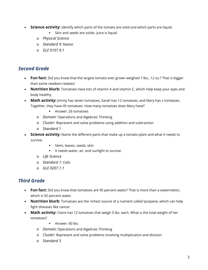- **Science activity:** Identify which parts of the tomato are solid and which parts are liquid.
	- **Skin and seeds are solids. Juice is liquid.**
	- o *Physical Science*
	- o *Standard 9:* Matter
	- o *GLE 0107.9.1*

#### *Second Grade*

- **Fun fact:** Did you know that the largest tomato ever grown weighed 7 lbs., 12 oz.? That is bigger than some newborn babies!
- **Nutrition blurb:** Tomatoes have lots of vitamin A and vitamin C, which help keep your eyes and body healthy.
- **Math activity:** Jimmy has seven tomatoes, Sarah has 12 tomatoes, and Mary has x tomatoes. Together, they have 45 tomatoes. How many tomatoes does Mary have?
	- **Answer: 26 tomatoes**
	- o *Domain:* Operations and Algebraic Thinking
	- o *Cluster:* Represent and solve problems using addition and subtraction
	- o *Standard 1*
- **Science activity:** Name the different parts that make up a tomato plant and what it needs to survive.
	- **Stem, leaves, seeds, skin**
	- **IF It needs water, air, and sunlight to survive**
	- o *Life Science*
	- o *Standard 1:* Cells
	- o *GLE 0207.1.1*

#### *Third Grade*

- **Fun fact:** Did you know that tomatoes are 95 percent water? That is more than a watermelon, which is 92 percent water.
- **Nutrition blurb:** Tomatoes are the richest source of a nutrient called lycopene, which can help fight diseases like cancer.
- **Math activity:** Claire has 12 tomatoes that weigh 5 lbs. each. What is the total weight of her tomatoes?
	- **Answer: 60 lbs.**
	- o *Domain:* Operations and Algebraic Thinking
	- o *Cluster:* Represent and solve problems involving multiplication and division
	- o *Standard 3*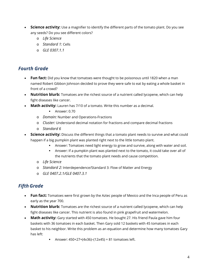- **Science activity:** Use a magnifier to identify the different parts of the tomato plant. Do you see any seeds? Do you see different colors?
	- o *Life Science*
	- o *Standard 1:* Cells
	- o *GLE 0307.1.1*

#### *Fourth Grade*

- **Fun fact:** Did you know that tomatoes were thought to be poisonous until 1820 when a man named Robert Gibbon Johnson decided to prove they were safe to eat by eating a whole basket in front of a crowd?
- **Nutrition blurb:** Tomatoes are the richest source of a nutrient called lycopene, which can help fight diseases like cancer.
- **Math activity:** Lauren has 7/10 of a tomato. Write this number as a decimal.
	- Answer: 0.70
	- o *Domain:* Number and Operations-Fractions
	- o *Cluster:* Understand decimal notation for fractions and compare decimal fractions
	- o *Standard 6*
- **Science activity:** Discuss the different things that a tomato plant needs to survive and what could happen if a big pumpkin plant was planted right next to the little tomato plant.
	- Answer: Tomatoes need light energy to grow and survive, along with water and soil.
	- Answer: If a pumpkin plant was planted next to the tomato, it could take over all of the nutrients that the tomato plant needs and cause competition.
	- o *Life Science*
	- o *Standard 2:* Interdependence/Standard 3: Flow of Matter and Energy
	- o *GLE 0407.2.1/GLE 0407.3.1*

- **Fun fact:** Tomatoes were first grown by the Aztec people of Mexico and the Inca people of Peru as early as the year 700.
- **Nutrition blurb:** Tomatoes are the richest source of a nutrient called lycopene, which can help fight diseases like cancer. This nutrient is also found in pink grapefruit and watermelon.
- **Math activity:** Gary started with 450 tomatoes. He bought 27. His friend Paula gave him four baskets with 36 tomatoes in each basket. Then Gary sold 12 baskets with 45 tomatoes in each basket to his neighbor. Write this problem as an equation and determine how many tomatoes Gary has left:
	- **Answer: 450+27+(4x36)-(12x45) = 81 tomatoes left.**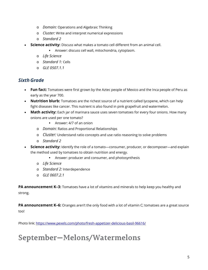- o *Domain:* Operations and Algebraic Thinking
- o *Cluster:* Write and interpret numerical expressions
- o *Standard 2*
- **Science activity:** Discuss what makes a tomato cell different from an animal cell.
	- Answer: discuss cell wall, mitochondria, cytoplasm.
	- o *Life Science*
	- o *Standard 1:* Cells
	- o *GLE 0507.1.1*

#### *SixthGrade*

- **Fun fact:** Tomatoes were first grown by the Aztec people of Mexico and the Inca people of Peru as early as the year 700.
- **Nutrition blurb:** Tomatoes are the richest source of a nutrient called lycopene, which can help fight diseases like cancer. This nutrient is also found in pink grapefruit and watermelon.
- Math activity: Each jar of marinara sauce uses seven tomatoes for every four onions. How many onions are used per one tomato?
	- **Answer: 4/7 of an onion**
	- o *Domain:* Ratios and Proportional Relationships
	- o *Cluster:* Understand ratio concepts and use ratio reasoning to solve problems
	- o *Standard 2*
- **Science activity:** Identify the role of a tomato—consumer, producer, or decomposer—and explain the method used by tomatoes to obtain nutrition and energy.
	- Answer: producer and consumer, and photosynthesis
	- o *Life Science*
	- o *Standard 2:* Interdependence
	- o *GLE 0607.2.1*

**PA announcement K-3:** Tomatoes have a lot of vitamins and minerals to help keep you healthy and strong.

**PA announcement K–6:** Oranges aren't the only food with a lot of vitamin C; tomatoes are a great source too!

Photo link: [https://www.pexels.com/photo/fresh-appetizer-delicious-basil-96616/](https://email.vanderbilt.edu/owa/redir.aspx?C=kqr5BWbk-z6wLSQ2PCv4aXJwQd9fW4vrsDYRVmMcR_akk_AZQXzUCA..&URL=https%3a%2f%2fwww.pexels.com%2fphoto%2ffresh-appetizer-delicious-basil-96616%2f)

# **September—Melons/Watermelons**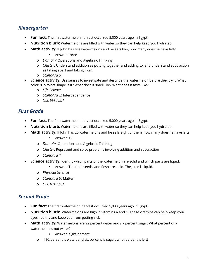#### *Kindergarten*

- **Fun fact:** The first watermelon harvest occurred 5,000 years ago in Egypt.
- **Nutrition blurb:** Watermelons are filled with water so they can help keep you hydrated.
- **Math activity:** If John has five watermelons and he eats two, how many does he have left?
	- **Answer: three**
	- o *Domain:* Operations and Algebraic Thinking
	- o *Cluster:* Understand addition as putting together and adding to, and understand subtraction as taking apart and taking from.
	- o *Standard 5*
- **Science activity:** Use senses to investigate and describe the watermelon before they try it. What color is it? What shape is it? What does it smell like? What does it taste like?
	- o *Life Science*
	- o *Standard 2:* Interdependence
	- o *GLE 0007.2.1*

#### *First Grade*

- **Fun fact:** The first watermelon harvest occurred 5,000 years ago in Egypt.
- **Nutrition blurb:** Watermelons are filled with water so they can help keep you hydrated.
- **Math activity:** If John has 20 watermelons and he sells eight of them, how many does he have left?
	- **Answer: 12**
	- o *Domain:* Operations and Algebraic Thinking
	- o *Cluster:* Represent and solve problems involving addition and subtraction
	- o *Standard 1*
- **Science activity:** Identify which parts of the watermelon are solid and which parts are liquid.
	- Answer: The rind, seeds, and flesh are solid. The juice is liquid.
	- o *Physical Science*
	- o *Standard 9:* Matter
	- o *GLE 0107.9.1*

#### *Second Grade*

- **Fun fact:** The first watermelon harvest occurred 5,000 years ago in Egypt.
- **Nutrition blurb:** Watermelons are high in vitamins A and C. These vitamins can help keep your eyes healthy and keep you from getting sick.
- **Math activity:** Watermelons are 92 percent water and six percent sugar. What percent of a watermelon is not water?
	- **Answer: eight percent**
	- o If 92 percent is water, and six percent is sugar, what percent is left?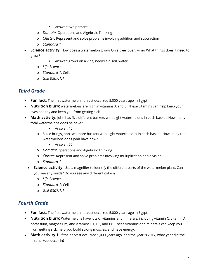- **Answer: two percent**
- o *Domain:* Operations and Algebraic Thinking
- o *Cluster:* Represent and solve problems involving addition and subtraction
- o *Standard 1*
- **Science activity:** How does a watermelon grow? On a tree, bush, vine? What things does it need to grow?
	- **Answer: grows on a vine; needs air, soil, water**
	- o *Life Science*
	- o *Standard 1:* Cells
	- o *GLE 0207.1.1*

#### *Third Grade*

- **Fun fact:** The first watermelon harvest occurred 5,000 years ago in Egypt.
- **Nutrition blurb:** watermelons are high in vitamins A and C. These vitamins can help keep your eyes healthy and keep you from getting sick.
- **Math activity:** John has five different baskets with eight watermelons in each basket. How many total watermelons does he have?
	- **Answer: 40**
	- o Suzie brings John two more baskets with eight watermelons in each basket. How many total watermelons does John have now?
		- **Answer: 56**
	- o *Domain:* Operations and Algebraic Thinking
	- o *Cluster:* Represent and solve problems involving multiplication and division
	- o *Standard 1*
	- **Science activity:** Use a magnifier to identify the different parts of the watermelon plant. Can you see any seeds? Do you see any different colors?
		- o *Life Science*
		- o *Standard 1:* Cells
		- o *GLE 0307.1.1*

#### *Fourth Grade*

- **Fun fact:** The first watermelon harvest occurred 5,000 years ago in Egypt.
- **Nutrition blurb:** Watermelons have lots of vitamins and minerals, including vitamin C, vitamin A, potassium, magnesium, and vitamins B1, B5, and B6. These vitamins and minerals can keep you from getting sick, help you build strong muscles, and have energy.
- **Math activity 1:** If the harvest occurred 5,000 years ago, and the year is 2017, what year did the first harvest occur in?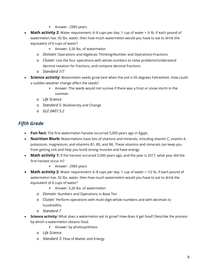- **Answer: -2983 years**
- **Math activity 2:** Water requirement: 6–8 cups per day. 1 cup of water = 1/2 lb. If each pound of watermelon has .92 lbs. water, then how much watermelon would you have to eat to drink the equivalent of 6 cups of water?
	- Answer: 3.26 lbs. of watermelon
	- o *Domain:* Operations and Algebraic Thinking/Number and Operations-Fractions
	- o *Cluster:* Use the four operations with whole numbers to solve problems/Understand decimal notation for fractions, and compare decimal fractions
	- o *Standard 1/7*
- **Science activity:** Watermelon seeds grow best when the soil is 95 degrees Fahrenheit. How could a sudden weather change affect the seeds?
	- Answer: The seeds would not survive if there was a frost or snow storm in the summer.
	- o *Life Science*
	- o *Standard 5:* Biodiversity and Change
	- o *GLE 0407.5.2*

- **Fun fact:** The first watermelon harvest occurred 5,000 years ago in Egypt.
- **Nutrition Blurb:** Watermelons have lots of vitamins and minerals, including vitamin C, vitamin A, potassium, magnesium, and vitamins B1, B5, and B6. These vitamins and minerals can keep you from getting sick and help you build strong muscles and have energy.
- **Math activity 1:** If the harvest occurred 5,000 years ago, and the year is 2017, what year did the first harvest occur in?
	- **Answer: -2983 years**
- **Math activity 2:** Water requirement: 6–8 cups per day. 1 cup of water = 1/2 lb. If each pound of watermelon has .92 lbs. water, then how much watermelon would you have to eat to drink the equivalent of 6 cups of water?
	- Answer: 3.26 lbs. of watermelon
	- o *Domain:* Numbers and Operations in Base Ten
	- o *Cluster:* Perform operations with multi-digit whole numbers and with decimals to hundredths
	- o *Standard 7*
- **Science activity:** What does a watermelon eat to grow? How does it get food? Describe the process by which a watermelon obtains food.
	- **Answer: by photosynthesis**
	- o *Life Science*
	- o *Standard 3:* Flow of Matter and Energy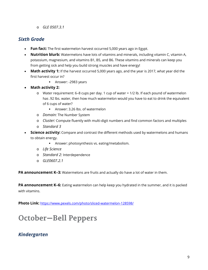o *GLE 0507.3.1*

#### *Sixth Grade*

- **Fun fact:** The first watermelon harvest occurred 5,000 years ago in Egypt.
- **Nutrition blurb:** Watermelons have lots of vitamins and minerals, including vitamin C, vitamin A, potassium, magnesium, and vitamins B1, B5, and B6. These vitamins and minerals can keep you from getting sick and help you build strong muscles and have energy!
- **Math activity 1:** If the harvest occurred 5,000 years ago, and the year is 2017, what year did the first harvest occur in?
	- **Answer: -2983 years**
- **Math activity 2:**
	- o Water requirement: 6–8 cups per day. 1 cup of water = 1/2 lb. If each pound of watermelon has .92 lbs. water, then how much watermelon would you have to eat to drink the equivalent of 6 cups of water?
		- Answer: 3.26 lbs. of watermelon
	- o *Domain:* The Number System
	- o *Cluster:* Compute fluently with multi-digit numbers and find common factors and multiples
	- o *Standard 3*
- **Science activity:** Compare and contrast the different methods used by watermelons and humans to obtain energy.
	- Answer: photosynthesis vs. eating/metabolism.
	- o *Life Science*
	- o *Standard 2:* Interdependence
	- o *GLE0607.2.1*

**PA announcement K-3:** Watermelons are fruits and actually do have a lot of water in them.

**PA announcement K–6:** Eating watermelon can help keep you hydrated in the summer, and it is packed with vitamins.

**Photo Link:** [https://www.pexels.com/photo/sliced-watermelon-128598/](https://email.vanderbilt.edu/owa/redir.aspx?C=FLLM6hSkmIr-kCKg0O4R-F4gJzKyjdsvn1-6cg1BRxSkk_AZQXzUCA..&URL=https%3a%2f%2fwww.pexels.com%2fphoto%2fsliced-watermelon-128598%2f)

# **October—Bell Peppers**

#### *Kindergarten*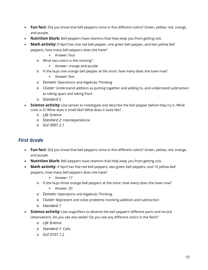- **Fun fact:** Did you know that bell peppers come in five different colors? Green, yellow, red, orange, and purple.
- **Nutrition blurb:** Bell peppers have vitamins that help keep you from getting sick.
- **Math activity:** If April has one red bell pepper, one green bell pepper, and two yellow bell peppers, how many bell peppers does she have?
	- **Answer: four**
	- o What two colors is she missing?
		- **Answer: orange and purple**
	- o If she buys one orange bell pepper at the store, how many does she have now?
		- **Answer: five**
	- o *Domain:* Operations and Algebraic Thinking
	- o *Cluster:* Understand addition as putting together and adding to, and understand subtraction as taking apart and taking from.
	- o *Standard 5*
- **Science activity:** Use senses to investigate and describe the bell pepper before they try it. What color is it? What does it smell like? What does it taste like?
	- o *Life Science*
	- o *Standard 2:* Interdependence
	- o *GLE 0007.2.1*

#### *First Grade*

- **Fun fact:** Did you know that bell peppers come in five different colors? Green, yellow, red, orange, and purple.
- **Nutrition blurb:** Bell peppers have vitamins that help keep you from getting sick.
- Math activity: If April has five red bell peppers, two green bell peppers, and 10 yellow bell peppers, how many bell peppers does she have?
	- **Answer: 17**
	- o If she buys three orange bell peppers at the store, how many does she have now?
		- **Answer: 20**
	- o *Domain:* Operations and Algebraic Thinking
	- o *Cluster:* Represent and solve problems involving addition and subtraction
	- o *Standard 1*
- **Science activity:** Use magnifiers to observe the bell pepper's different parts and record observations. Do you see any seeds? Do you see any different colors in the flesh?
	- o *Life Science*
	- o *Standard 1:* Cells
	- o *GLE 0107.1.2*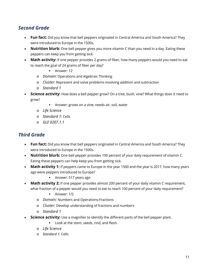#### *Second Grade*

- **Fun fact:** Did you know that bell peppers originated in Central America and South America? They were introduced to Europe in the 1500s.
- **Nutrition blurb:** One bell pepper gives you more vitamin C than you need in a day. Eating these peppers can keep you from getting sick.
- Math activity: If one pepper provides 2 grams of fiber, how many peppers would you need to eat to reach the goal of 24 grams of fiber per day?
	- **Answer: 12**
	- o *Domain:* Operations and Algebraic Thinking
	- o *Cluster:* Represent and solve problems involving addition and subtraction
	- o *Standard 1*
- **Science activity:** How does a bell pepper grow? On a tree, bush, vine? What things does it need to grow?
	- Answer: grows on a vine; needs air, soil, water
	- o *Life Science*
	- o *Standard 1:* Cells
	- o *GLE 0207.1.1*

#### *Third Grade*

- **Fun fact:** Did you know that bell peppers originated in Central America and South America? They were introduced to Europe in the 1500s.
- **Nutrition blurb:** One bell pepper provides 190 percent of your daily requirement of vitamin C. Eating these peppers can help keep you from getting sick.
- **Math activity 1:** If peppers came to Europe in the year 1500 and the year is 2017, how many years ago were peppers introduced to Europe?
	- **Answer: 517 years ago**
- **Math activity 2:** If one pepper provides almost 200 percent of your daily vitamin C requirement, what fraction of a pepper would you need to eat to reach 100 percent of your daily requirement?
	- Answer: 1/2
	- o *Domain:* Numbers and Operations-Fractions
	- o *Cluster:* Develop understanding of fractions and numbers
	- o *Standard 1*
- **Science activity:** Use a magnifier to identify the different parts of the bell pepper plant.
	- **Look at the stem, seeds, rind, and flesh.**
	- o *Life Science*
	- o *Standard 1:* Cells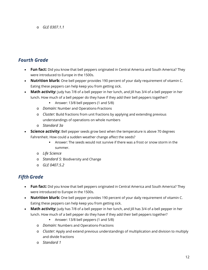o *GLE 0307.1.1*

#### *Fourth Grade*

- **Fun fact:** Did you know that bell peppers originated in Central America and South America? They were introduced to Europe in the 1500s.
- **Nutrition blurb:** One bell pepper provides 190 percent of your daily requirement of vitamin C. Eating these peppers can help keep you from getting sick.
- **Math activity:** Judy has 7/8 of a bell pepper in her lunch, and Jill has 3/4 of a bell pepper in her lunch. How much of a bell pepper do they have if they add their bell peppers together?
	- Answer: 13/8 bell peppers (1 and 5/8)
	- o *Domain:* Number and Operations-Fractions
	- o *Cluster:* Build fractions from unit fractions by applying and extending previous understandings of operations on whole numbers
	- o *Standard 3a*
- **Science activity:** Bell pepper seeds grow best when the temperature is above 70 degrees Fahrenheit. How could a sudden weather change affect the seeds?
	- Answer: The seeds would not survive if there was a frost or snow storm in the summer.
	- o *Life Science*
	- o *Standard 5:* Biodiversity and Change
	- o *GLE 0407.5.2*

- **Fun fact:** Did you know that bell peppers originated in Central America and South America? They were introduced to Europe in the 1500s.
- **Nutrition blurb:** One bell pepper provides 190 percent of your daily requirement of vitamin C. Eating these peppers can help keep you from getting sick.
- **Math activity:** Judy has 7/8 of a bell pepper in her lunch, and Jill has 3/4 of a bell pepper in her lunch. How much of a bell pepper do they have if they add their bell peppers together?
	- Answer: 13/8 bell peppers (1 and 5/8)
	- o *Domain:* Numbers and Operations-Fractions
	- o *Cluster:* Apply and extend previous understandings of multiplication and division to multiply and divide fractions
	- o *Standard 1*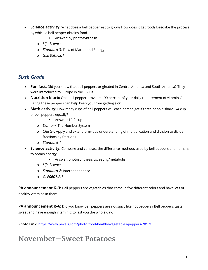- **Science activity:** What does a bell pepper eat to grow? How does it get food? Describe the process by which a bell pepper obtains food.
	- **Answer: by photosynthesis**
	- o *Life Science*
	- o *Standard 3:* Flow of Matter and Energy
	- o *GLE 0507.3.1*

#### *Sixth Grade*

- **Fun fact:** Did you know that bell peppers originated in Central America and South America? They were introduced to Europe in the 1500s.
- **Nutrition blurb:** One bell pepper provides 190 percent of your daily requirement of vitamin C. Eating these peppers can help keep you from getting sick.
- **Math activity:** How many cups of bell peppers will each person get if three people share 1/4 cup of bell peppers equally?
	- **Answer: 1/12 cup**
	- o *Domain:* The Number System
	- o *Cluster:* Apply and extend previous understanding of multiplication and division to divide fractions by fractions
	- o *Standard 1*
- **Science activity:** Compare and contrast the difference methods used by bell peppers and humans to obtain energy.
	- Answer: photosynthesis vs. eating/metabolism.
	- o *Life Science*
	- o *Standard 2:* Interdependence
	- o *GLE0607.2.1*

**PA announcement K–3:** Bell peppers are vegetables that come in five different colors and have lots of healthy vitamins in them.

PA announcement K-6: Did you know bell peppers are not spicy like hot peppers? Bell peppers taste sweet and have enough vitamin C to last you the whole day.

**Photo Link:** [https://www.pexels.com/photo/food-healthy-vegetables-peppers-7017/](https://email.vanderbilt.edu/owa/redir.aspx?C=nr9YeFB2n1iXTmKlTWGyjfwA-eq5R-ZYkIGiMiwPtpOkk_AZQXzUCA..&URL=https%3a%2f%2fwww.pexels.com%2fphoto%2ffood-healthy-vegetables-peppers-7017%2f)

### **November—Sweet Potatoes**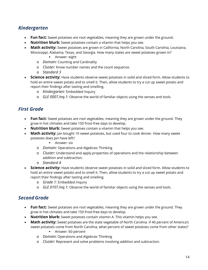#### *Kindergarten*

- **Fun fact:** Sweet potatoes are root vegetables, meaning they are grown under the ground.
- **Nutrition blurb:** Sweet potatoes contain a vitamin that helps you see.
- **Math activity:** Sweet potatoes are grown in California, North Carolina, South Carolina, Louisiana, Mississippi, Alabama, Texas, and Georgia. How many states are sweet potatoes grown in?
	- Answer: eight
	- o *Domain:* Counting and Cardinality
	- o *Cluster:* Know number names and the count sequence.
	- o *Standard 3*
- **Science activity:** Have students observe sweet potatoes in solid and sliced form. Allow students to hold an entire sweet potato and to smell it. Then, allow students to try a cut up sweet potato and report their findings after tasting and smelling.
	- o *Kindergarten:* Embedded Inquiry
	- o *GLE 0007.Inq.1:* Observe the world of familiar objects using the senses and tools.

#### *First Grade*

- **Fun fact:** Sweet potatoes are root vegetables, meaning they are grown under the ground. They grow in hot climates and take 150 frost-free days to develop.
- **Nutrition blurb:** Sweet potatoes contain a vitamin that helps you see.
- Math activity: Jan bought 10 sweet potatoes, but used four to cook dinner. How many sweet potatoes does Jan have left?
	- **Answer: six**
	- o *Domain:* Operations and Algebraic Thinking
	- o *Cluster:* Understand and apply properties of operations and the relationship between addition and subtraction.
	- o *Standard 4*
- **Science activity:** Have students observe sweet potatoes in solid and sliced form. Allow students to hold an entire sweet potato and to smell it. Then, allow students to try a cut up sweet potato and report their findings after tasting and smelling.
	- o *Grade 1:* Embedded Inquiry
	- o *GLE 0107.Inq.1:* Observe the world of familiar objects using the senses and tools.

#### *SecondGrade*

- **Fun fact:** Sweet potatoes are root vegetables, meaning they are grown under the ground. They grow in hot climates and take 150 frost-free days to develop.
- **Nutrition blurb:** Sweet potatoes contain vitamin A. This vitamin helps you see.
- **Math activity:** Sweet potatoes are the state vegetable of North Carolina. If 40 percent of America's sweet potatoes come from North Carolina, what percent of sweet potatoes come from other states?
	- **Answer: 60 percent**
	- o *Domain:* Operations and Algebraic Thinking
	- o *Cluster:* Represent and solve problems involving addition and subtraction.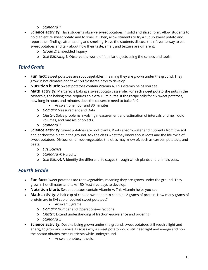- o *Standard 1*
- **Science activity:** Have students observe sweet potatoes in solid and sliced form. Allow students to hold an entire sweet potato and to smell it. Then, allow students to try a cut up sweet potato and report their findings after tasting and smelling. Have the students discuss their favorite way to eat sweet potatoes and talk about how their taste, smell, and texture are different.
	- o *Grade 2:* Embedded Inquiry
	- o *GLE 0207.Inq.1:* Observe the world of familiar objects using the senses and tools.

#### *ThirdGrade*

- **Fun fact:** Sweet potatoes are root vegetables, meaning they are grown under the ground. They grow in hot climates and take 150 frost-free days to develop.
- **Nutrition blurb:** Sweet potatoes contain Vitamin A. This vitamin helps you see.
- **Math activity:** Margaret is baking a sweet potato casserole. For each sweet potato she puts in the casserole, the baking time requires an extra 15 minutes. If the recipe calls for six sweet potatoes, how long in hours and minutes does the casserole need to bake for?
	- Answer: one hour and 30 minutes
	- o *Domain:* Measurement and Data
	- o *Cluster:* Solve problems involving measurement and estimation of intervals of time, liquid volumes, and masses of objects.
	- o *Standard 1*
- **Science activity:** Sweet potatoes are root plants. Roots absorb water and nutrients from the soil and anchor the plant in the ground. Ask the class what they know about roots and the life cycle of sweet potatoes. Discuss other root vegetables the class may know of, such as carrots, potatoes, and beets.
	- o *Life Science*
	- o *Standard 4:* Heredity
	- o *GLE 0307.4.1:* Identify the different life stages through which plants and animals pass.

#### *Fourth Grade*

- **Fun fact:** Sweet potatoes are root vegetables, meaning they are grown under the ground. They grow in hot climates and take 150 frost-free days to develop.
- **Nutrition blurb:** Sweet potatoes contain Vitamin A. This vitamin helps you see.
- **Math activity:** A half cup of cooked sweet potato contains 2 grams of protein. How many grams of protein are in 3/4 cup of cooked sweet potatoes?
	- **Answer: 3 grams**
	- o *Domain:* Number and Operations—Fractions
	- o *Cluster:* Extend understanding of fraction equivalence and ordering.
	- o *Standard 2*
- **Science activity:** Despite being grown under the ground, sweet potatoes still require light and energy to grow and survive. Discuss why a sweet potato would still need light and energy and how the potato obtains these nutrients while underground.
	- **Answer: photosynthesis.**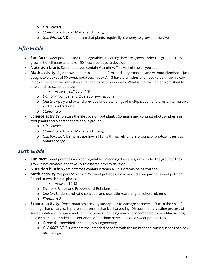- o *Life Science*
- o *Standard 3:* Flow of Matter and Energy
- o *GLE 0407.3.1:* Demonstrate that plants require light energy to grow and survive.

#### **Fifth Grade**

- **Fun fact:** Sweet potatoes are root vegetables, meaning they are grown under the ground. They grow in hot climates and take 150 frost-free days to develop.
- **Nutrition blurb:** Sweet potatoes contain Vitamin A. This vitamin helps you see.
- **Math activity:** A good sweet potato should be firm, dark, dry, smooth, and without blemishes. Jack bought two boxes of 80 sweet potatoes. In box A, 13 have blemishes and need to be thrown away. In box B, seven have blemishes and need to be thrown away. What is the fraction of blemished to unblemished sweet potatoes?
	- Answer: 20/160 or 1/8
	- o *Domain:* Number and Operations—Fractions
	- o *Cluster:* Apply and extend previous understandings of multiplication and division to multiply and divide fractions.
	- o *Standard 3*
- **Science activity:** Discuss the life cycle of root plants. Compare and contrast photosynthesis in root plants and plants that are above ground.
	- o *Life Science*
	- o *Standard 3:* Flow of Matter and Energy
	- o *GLE 0507.3.1:* Demonstrate how all living things rely on the process of photosynthesis to obtain energy.

#### *Sixth Grade*

- **Fun fact:** Sweet potatoes are root vegetables, meaning they are grown under the ground. They grow in hot climates and take 150 frost-free days to develop.
- **Nutrition blurb:** Sweet potatoes contain Vitamin A. This vitamin helps you see.
- **Math activity:** We paid \$167 for 175 sweet potatoes. How much did we pay per sweet potato? Round to two decimal places.
	- Answer: \$0.95
	- o *Domain:* Ratios and Proportional Relationships
	- o *Cluster:* Understand ratio concepts and use ratio reasoning to solve problems.
	- o *Standard 2*
- **Science activity:** Sweet potatoes are very susceptible to damage at harvest. Due to the risk of damage, hand-harvest is preferred over mechanical harvesting. Discuss the harvesting process of sweet potatoes. Compare and contrast benefits of using machinery compared to hand-harvesting. Also discuss unintended consequences of machine harvesting on a sweet potato crop.
	- o *Grade 6:* Embedded Technology & Engineering
	- o *GLE 0607.T/E.3:* Compare the intended benefits with the unintended consequences of a new technology.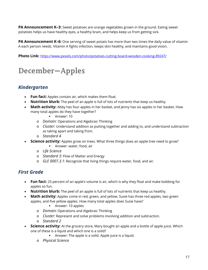**PA Announcement K–3:** Sweet potatoes are orange vegetables grown in the ground. Eating sweet potatoes helps us have healthy eyes, a healthy brain, and helps keep us from getting sick.

**PA Announcement K–6:** One serving of sweet potato has more than two times the daily value of vitamin A each person needs. Vitamin A fights infection, keeps skin healthy, and maintains good vision.

**Photo Link:** [https://www.pexels.com/photo/potatoes-cutting-board-wooden-cooking-89247/](https://email.vanderbilt.edu/owa/redir.aspx?C=zrpjpyK4Q2SLxK44zbmKGeLrU5AUkMuPIv77bHxzl52kk_AZQXzUCA..&URL=https%3a%2f%2fwww.pexels.com%2fphoto%2fpotatoes-cutting-board-wooden-cooking-89247%2f)

# **December—Apples**

#### *Kindergarten*

- **Fun fact:** Apples contain air, which makes them float.
- **Nutrition blurb:** The peel of an apple is full of lots of nutrients that keep us healthy.
- Math activity: Abby has four apples in her basket, and Jenny has six apples in her basket. How many total apples do they have together?
	- **Answer: 10**
	- o *Domain:* Operations and Algebraic Thinking
	- o *Cluster:* Understand addition as putting together and adding to, and understand subtraction as taking apart and taking from.
	- o *Standard 4*
- **Science activity:** Apples grow on trees. What three things does an apple tree need to grow?
	- **Answer: water, food, air**
	- o *Life Science*
	- o *Standard 3:* Flow of Matter and Energy
	- o *GLE 0007.3.1*: Recognize that living things require water, food, and air.

#### *First Grade*

- **Fun fact:** 25 percent of an apple's volume is air, which is why they float and make bobbing for apples so fun.
- **Nutrition blurb:** The peel of an apple is full of lots of nutrients that keep us healthy.
- Math activity: Apples come in red, green, and yellow. Susie has three red apples, two green apples, and five yellow apples. How many total apples does Susie have?
	- Answer: 10 apples
	- o *Domain:* Operations and Algebraic Thinking
	- o *Cluster:* Represent and solve problems involving addition and subtraction.
	- o *Standard 2*
- **Science activity:** At the grocery store, Mary bought an apple and a bottle of apple juice. Which one of these is a liquid and which one is a solid?
	- Answer: The apple is a solid. Apple juice is a liquid.
	- o *Physical Science*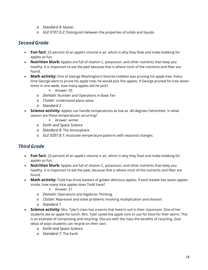- o *Standard 9:* Matter
- o *GLE 0107.9.2:* Distinguish between the properties of solids and liquids.

#### *SecondGrade*

- **Fun fact:** 25 percent of an apple's volume is air, which is why they float and make bobbing for apples so fun.
- **Nutrition blurb:** Apples are full of vitamin C, potassium, and other nutrients that keep you healthy. It is important to eat the peel because that is where most of the nutrients and fiber are found.
- **Math activity:** One of George Washington's favorite hobbies was pruning his apple tree. Every time George went to prune his apple tree, he would pick five apples. If George pruned his tree seven times in one week, how many apples did he pick?
	- **Answer: 35**
	- o *Domain:* Number and Operations in Base Ten
	- o *Cluster:* Understand place value.
	- o *Standard 2*
- **Science activity:** Apples can handle temperatures as low as -40 degrees Fahrenheit. In what season are these temperatures occurring?
	- **Answer: winter**
	- o *Earth and Space Science*
	- o *Standard 8:* The Atmosphere
	- o *GLE 0207.8.1:* Associate temperature patterns with seasonal changes.

#### *ThirdGrade*

- **Fun fact:** 25 percent of an apple's volume is air, which is why they float and make bobbing for apples so fun.
- **Nutrition blurb:** Apples are full of vitamin C, potassium, and other nutrients that keep you healthy. It is important to eat the peel, because that is where most of the nutrients and fiber are found.
- **Math activity:** Todd has three baskets of golden delicious apples. If each basket has seven apples inside, how many total apples does Todd have?
	- **Answer: 21**
	- o *Domain:* Operations and Algebraic Thinking
	- o *Cluster:* Represent and solve problems involving multiplication and division.
	- o *Standard 1*
- **Science activity:** Mrs. Tyler's class has a worm that lived in soil in their classroom. One of her students ate an apple for lunch. Mrs. Tyler saved the apple core to use for food for their worm. This is an example of composting and recycling. Discuss with the class the benefits of recycling. Give ideas of ways students can recycle on their own.
	- o *Earth and Space Science*
	- o *Standard 7:* The Earth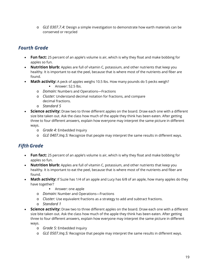o *GLE 0307.7.4:* Design a simple investigation to demonstrate how earth materials can be conserved or recycled

#### *Fourth Grade*

- **Fun fact:** 25 percent of an apple's volume is air, which is why they float and make bobbing for apples so fun.
- **Nutrition blurb:** Apples are full of vitamin C, potassium, and other nutrients that keep you healthy. It is important to eat the peel, because that is where most of the nutrients and fiber are found.
- **Math activity:** A peck of apples weighs 10.5 lbs. How many pounds do 5 pecks weigh?
	- Answer: 52.5 lbs.
	- o *Domain:* Numbers and Operations—Fractions
	- o *Cluster:* Understand decimal notation for fractions, and compare decimal fractions.
	- o *Standard 5*
- **Science activity:** Draw two to three different apples on the board. Draw each one with a different size bite taken out. Ask the class how much of the apple they think has been eaten. After getting three to four different answers, explain how everyone may interpret the same picture in different ways.
	- o *Grade 4:* Embedded Inquiry
	- o *GLE 0407.Inq.5:* Recognize that people may interpret the same results in different ways.

- **Fun fact:** 25 percent of an apple's volume is air, which is why they float and make bobbing for apples so fun.
- **Nutrition blurb:** Apples are full of vitamin C, potassium, and other nutrients that keep you healthy. It is important to eat the peel, because that is where most of the nutrients and fiber are found.
- **Math activity:** If Suzie has 1/4 of an apple and Lucy has 6/8 of an apple, how many apples do they have together?
	- **Answer: one apple**
	- o *Domain:* Number and Operations—Fractions
	- o *Cluster:* Use equivalent fractions as a strategy to add and subtract fractions.
	- o *Standard 1*
- **Science activity:** Draw two to three different apples on the board. Draw each one with a different size bite taken out. Ask the class how much of the apple they think has been eaten. After getting three to four different answers, explain how everyone may interpret the same picture in different ways.
	- o *Grade 5:* Embedded Inquiry
	- o *GLE 0507.Inq.5:* Recognize that people may interpret the same results in different ways.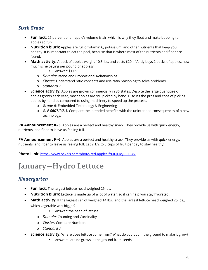#### *SixthGrade*

- **Fun fact:** 25 percent of an apple's volume is air, which is why they float and make bobbing for apples so fun.
- **Nutrition blurb:** Apples are full of vitamin C, potassium, and other nutrients that keep you healthy. It is important to eat the peel, because that is where most of the nutrients and fiber are found.
- **Math activity:** A peck of apples weighs 10.5 lbs. and costs \$20. If Andy buys 2 pecks of apples, how much is he paying per pound of apples?
	- Answer: \$1.05
	- o *Domain:* Ratios and Proportional Relationships
	- o *Cluster:* Understand ratio concepts and use ratio reasoning to solve problems.
	- o *Standard 2*
- **Science activity:** Apples are grown commercially in 36 states. Despite the large quantities of apples grown each year, most apples are still picked by hand. Discuss the pros and cons of picking apples by hand as compared to using machinery to speed up the process.
	- o *Grade 6:* Embedded Technology & Engineering
	- o *GLE 0607.T/E.3:* Compare the intended benefits with the unintended consequences of a new technology.

**PA Announcement K–3:** Apples are a perfect and healthy snack. They provide us with quick energy, nutrients, and fiber to leave us feeling full.

**PA Announcement K–6:** Apples are a perfect and healthy snack. They provide us with quick energy, nutrients, and fiber to leave us feeling full. Eat 2 1/2 to 5 cups of fruit per day to stay healthy!

**Photo Link:** [https://www.pexels.com/photo/red-apples-fruit-juicy-39028/](https://email.vanderbilt.edu/owa/redir.aspx?C=NiylcbG61hTZr-4dq-c9rPjRvh21Nh396P-iB1NT1YWkk_AZQXzUCA..&URL=https%3a%2f%2fwww.pexels.com%2fphoto%2fred-apples-fruit-juicy-39028%2f)

# **January—Hydro Lettuce**

#### *Kindergarten*

- **Fun fact:** The largest lettuce head weighed 25 lbs.
- **Nutrition blurb:** Lettuce is made up of a lot of water, so it can help you stay hydrated.
- **Math activity:** If the largest carrot weighed 14 lbs., and the largest lettuce head weighed 25 lbs., which vegetable was bigger?
	- Answer: the head of lettuce
	- o *Domain:* Counting and Cardinality
	- o *Cluster:* Compare Numbers
	- o *Standard 7*
- **Science activity:** Where does lettuce come from? What do you put in the ground to make it grow?
	- **Answer: Lettuce grows in the ground from seeds.**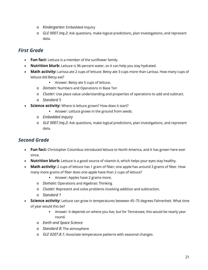- o *Kindergarten:* Embedded Inquiry
- o *GLE 0007.Inq.2:* Ask questions, make logical predictions, plan investigations, and represent data.

#### *First Grade*

- **Fun fact:** Lettuce is a member of the sunflower family.
- **Nutrition blurb:** Lettuce is 96 percent water, so it can help you stay hydrated.
- **Math activity:** Larissa ate 2 cups of lettuce; Betsy ate 3 cups more than Larissa. How many cups of lettuce did Betsy eat?
	- **Answer: Betsy ate 5 cups of lettuce.**
	- o *Domain:* Numbers and Operations in Base Ten
	- o *Cluster:* Use place value understanding and properties of operations to add and subtract.
	- o *Standard 5*
- **Science activity:** Where is lettuce grown? How does it start?
	- Answer: Lettuce grows in the ground from seeds.
	- o *Embedded Inquiry*
	- o *GLE 0007.Inq.2:* Ask questions, make logical predictions, plan investigations, and represent data.

#### *Second Grade*

- **Fun fact:** Christopher Columbus introduced lettuce to North America, and it has grown here ever since.
- **Nutrition blurb:** Lettuce is a good source of vitamin A, which helps your eyes stay healthy.
- **Math activity:** 2 cups of lettuce has 1 gram of fiber; one apple has around 3 grams of fiber. How many more grams of fiber does one apple have than 2 cups of lettuce?
	- **Answer: Apples have 2 grams more.**
	- o *Domain:* Operations and Algebraic Thinking
	- o *Cluster:* Represent and solve problems involving addition and subtraction.
	- o *Standard 1*
- **Science activity:** Lettuce can grow in temperatures between 45–75 degrees Fahrenheit. What time of year would this be?
	- Answer: It depends on where you live, but for Tennessee, this would be nearly year round.
	- o *Earth and Space Science*
	- o *Standard 8:* The atmosphere
	- o *GLE 0207.8.1:* Associate temperature patterns with seasonal changes.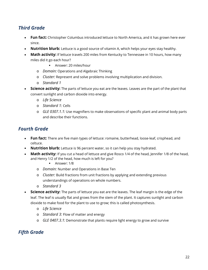#### *Third Grade*

- **Fun fact:** Christopher Columbus introduced lettuce to North America, and it has grown here ever since.
- **Nutrition blurb:** Lettuce is a good source of vitamin A, which helps your eyes stay healthy.
- **Math activity:** If lettuce travels 200 miles from Kentucky to Tennessee in 10 hours, how many miles did it go each hour?
	- Answer: 20 miles/hour
	- o *Domain:* Operations and Algebraic Thinking
	- o *Cluster:* Represent and solve problems involving multiplication and division.
	- o *Standard 1*
- **Science activity:** The parts of lettuce you eat are the leaves. Leaves are the part of the plant that convert sunlight and carbon dioxide into energy.
	- o *Life Science*
	- o *Standard 1:* Cells
	- o *GLE 0307.1.1:* Use magnifiers to make observations of specific plant and animal body parts and describe their functions.

#### *Fourth Grade*

- **Fun fact:** There are five main types of lettuce: romaine, butterhead, loose-leaf, crisphead, and celtuce.
- **Nutrition blurb:** Lettuce is 96 percent water, so it can help you stay hydrated.
- **Math activity:** If you cut a head of lettuce and give Rosco 1/4 of the head, Jennifer 1/8 of the head, and Henry 1/2 of the head, how much is left for you?
	- **Answer: 1/8**
	- o *Domain:* Number and Operations in Base Ten
	- o *Cluster:* Build fractions from unit fractions by applying and extending previous understandings of operations on whole numbers.
	- o *Standard 3*
- **Science activity:** The parts of lettuce you eat are the leaves. The leaf margin is the edge of the leaf. The leaf is usually flat and grows from the stem of the plant. It captures sunlight and carbon dioxide to make food for the plant to use to grow; this is called photosynthesis.
	- o *Life Science*
	- o *Standard 3:* Flow of matter and energy
	- o *GLE 0407.3.1:* Demonstrate that plants require light energy to grow and survive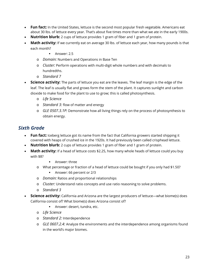- **Fun fact:** In the United States, lettuce is the second most popular fresh vegetable. Americans eat about 30 lbs. of lettuce every year. That's about five times more than what we ate in the early 1900s.
- **Nutrition blurb:** 2 cups of lettuce provides 1 gram of fiber and 1 gram of protein.
- **Math activity:** If we currently eat on average 30 lbs. of lettuce each year, how many pounds is that each month?
	- **Answer: 2.5**
	- o *Domain:* Numbers and Operations in Base Ten
	- o *Cluster:* Perform operations with multi-digit whole numbers and with decimals to hundredths.
	- o *Standard 7*
- **Science activity:** The parts of lettuce you eat are the leaves. The leaf margin is the edge of the leaf. The leaf is usually flat and grows form the stem of the plant. It captures sunlight and carbon dioxide to make food for the plant to use to grow; this is called photosynthesis.
	- o *Life Science*
	- o *Standard 3:* flow of matter and energy
	- o *GLE 0507.3.1P:* Demonstrate how all living things rely on the process of photosynthesis to obtain energy.

#### *Sixth Grade*

- **Fun fact:** Iceberg lettuce got its name from the fact that California growers started shipping it covered with heaps of crushed ice in the 1920s. It had previously been called crisphead lettuce.
- **Nutrition blurb:** 2 cups of lettuce provides 1 gram of fiber and 1 gram of protein.
- **Math activity:** If a head of lettuce costs \$2.25, how many whole heads of lettuce could you buy with \$8?
	- **Answer: three**
	- o What percentage or fraction of a head of lettuce could be bought if you only had \$1.50?
		- Answer: 66 percent or 2/3
	- o *Domain:* Ratios and proportional relationships
	- o *Cluster:* Understand ratio concepts and use ratio reasoning to solve problems.
	- o *Standard 3*
- **Science activity:** California and Arizona are the largest producers of lettuce—what biome(s) does California consist of? What biome(s) does Arizona consist of?
	- **Answer: desert, tundra, etc.**
	- o *Life Science*
	- o *Standard 2:* Interdependence
	- o *GLE 0607.2.4:* Analyze the environments and the interdependence among organisms found in the world's major biomes.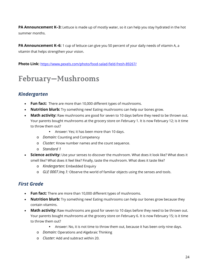**PA Announcement K–3:** Lettuce is made up of mostly water, so it can help you stay hydrated in the hot summer months.

**PA Announcement K–6:** 1 cup of lettuce can give you 50 percent of your daily needs of vitamin A, a vitamin that helps strengthen your vision.

**Photo Link:** [https://www.pexels.com/photo/food-salad-field-fresh-89267/](https://email.vanderbilt.edu/owa/redir.aspx?C=QWmIMlDUDADFHV-CifzYxzZAw4EhVNiRnb4Wfg6qlrKkk_AZQXzUCA..&URL=https%3a%2f%2fwww.pexels.com%2fphoto%2ffood-salad-field-fresh-89267%2f)

# **February—Mushrooms**

#### *Kindergarten*

- **Fun fact:** There are more than 10,000 different types of mushrooms.
- **Nutrition blurb:** Try something new! Eating mushrooms can help our bones grow.
- **Math activity:** Raw mushrooms are good for seven to 10 days before they need to be thrown out. Your parents bought mushrooms at the grocery store on February 1. It is now February 12; is it time to throw them out?
	- **Answer: Yes; it has been more than 10 days.**
	- o *Domain:* Counting and Competency
	- o *Cluster:* Know number names and the count sequence.
	- o *Standard 1*
- **Science activity:** Use your senses to discover the mushroom. What does it look like? What does it smell like? What does it feel like? Finally, taste the mushroom. What does it taste like?
	- o *Kindergarten:* Embedded Enquiry
	- o *GLE 0007.Inq.1:* Observe the world of familiar objects using the senses and tools.

#### *First Grade*

- **Fun fact:** There are more than 10,000 different types of mushrooms.
- **Nutrition blurb:** Try something new! Eating mushrooms can help our bones grow because they contain vitamins.
- **Math activity:** Raw mushrooms are good for seven to 10 days before they need to be thrown out. Your parents bought mushrooms at the grocery store on February 6. It is now February 15; is it time to throw them out?
	- Answer: No, it is not time to throw them out, because it has been only nine days.
	- o *Domain:* Operations and Algebraic Thinking
	- o *Cluster:* Add and subtract within 20.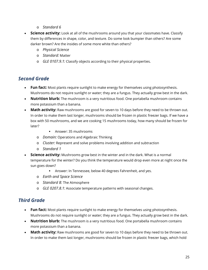- o *Standard 6*
- **Science activity:** Look at all of the mushrooms around you that your classmates have. Classify them by differences in shape, color, and texture. Do some look bumpier than others? Are some darker brown? Are the insides of some more white than others?
	- o *Physical Science*
	- o *Standard:* Matter
	- o *GLE 0107.9.1:* Classify objects according to their physical properties.

#### *Second Grade*

- **Fun fact:** Most plants require sunlight to make energy for themselves using photosynthesis. Mushrooms do not require sunlight or water; they are a fungus. They actually grow best in the dark.
- **Nutrition blurb:** The mushroom is a very nutritious food. One portabella mushroom contains more potassium than a banana.
- **Math activity:** Raw mushrooms are good for seven to 10 days before they need to be thrown out. In order to make them last longer, mushrooms should be frozen in plastic freezer bags. If we have a box with 50 mushrooms, and we are cooking 15 mushrooms today, how many should be frozen for later?
	- Answer: 35 mushrooms
	- o *Domain:* Operations and Algebraic Thinking
	- o *Cluster:* Represent and solve problems involving addition and subtraction
	- o *Standard 1*
- **Science activity:** Mushrooms grow best in the winter and in the dark. What is a normal temperature for the winter? Do you think the temperature would drop even more at night once the sun goes down?
	- Answer: In Tennessee, below 40 degrees Fahrenheit, and yes.
	- o *Earth and Space Science*
	- o *Standard 8:* The Atmosphere
	- o *GLE 0207.8.1:* Associate temperature patterns with seasonal changes.

#### *Third Grade*

- **Fun fact:** Most plants require sunlight to make energy for themselves using photosynthesis. Mushrooms do not require sunlight or water; they are a fungus. They actually grow best in the dark.
- **Nutrition blurb:** The mushroom is a very nutritious food. One portabella mushroom contains more potassium than a banana.
- Math activity: Raw mushrooms are good for seven to 10 days before they need to be thrown out. In order to make them last longer, mushrooms should be frozen in plastic freezer bags, which hold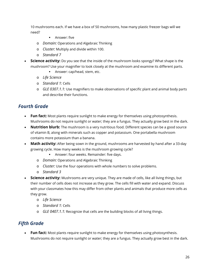10 mushrooms each. If we have a box of 50 mushrooms, how many plastic freezer bags will we need?

- **Answer: five**
- o *Domain:* Operations and Algebraic Thinking
- o *Cluster:* Multiply and divide within 100.
- o *Standard 7*
- **Science activity:** Do you see that the inside of the mushroom looks spongy? What shape is the mushroom? Use your magnifier to look closely at the mushroom and examine its different parts.
	- **Answer: cap/head, stem, etc.**
	- o *Life Science*
	- o *Standard 1:* Cells
	- o *GLE 0307.1.1:* Use magnifiers to make observations of specific plant and animal body parts and describe their functions.

#### *Fourth Grade*

- **Fun fact:** Most plants require sunlight to make energy for themselves using photosynthesis. Mushrooms do not require sunlight or water; they are a fungus. They actually grow best in the dark.
- **Nutrition blurb:** The mushroom is a very nutritious food. Different species can be a good source of vitamin B, along with minerals such as copper and potassium. One portabella mushroom contains more potassium than a banana.
- **Math activity:** After being sown in the ground, mushrooms are harvested by hand after a 33-day growing cycle. How many weeks is the mushroom growing cycle?
	- Answer: four weeks. Remainder: five days.
	- o *Domain:* Operations and Algebraic Thinking
	- o *Cluster:* Use the four operations with whole numbers to solve problems.
	- o *Standard 3*
- **Science activity:** Mushrooms are very unique. They are made of cells, like all living things, but their number of cells does not increase as they grow. The cells fill with water and expand. Discuss with your classmates how this may differ from other plants and animals that produce more cells as they grow.
	- o *Life Science*
	- o *Standard 1:* Cells
	- o *GLE 0407.1.1:* Recognize that cells are the building blocks of all living things.

#### *Fifth Grade*

**Fun fact:** Most plants require sunlight to make energy for themselves using photosynthesis. Mushrooms do not require sunlight or water; they are a fungus. They actually grow best in the dark.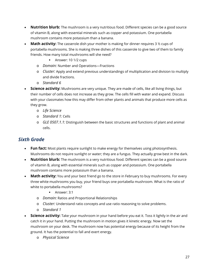- **Nutrition blurb:** The mushroom is a very nutritious food. Different species can be a good source of vitamin B, along with essential minerals such as copper and potassium. One portabella mushroom contains more potassium than a banana.
- **Math activity:** The casserole dish your mother is making for dinner requires 3 <sup>1</sup>/<sub>2</sub> cups of portabella mushrooms. She is making three dishes of this casserole to give two of them to family friends. How many total mushrooms will she need?
	- Answer: 10 1/2 cups
	- o *Domain:* Number and Operations—Fractions
	- o *Cluster:* Apply and extend previous understandings of multiplication and division to multiply and divide fractions.
	- o *Standard 6*
- **Science activity:** Mushrooms are very unique. They are made of cells, like all living things, but their number of cells does not increase as they grow. The cells fill with water and expand. Discuss with your classmates how this may differ from other plants and animals that produce more cells as they grow.
	- o *Life Science*
	- o *Standard 1:* Cells
	- o *GLE 0507.1.1:* Distinguish between the basic structures and functions of plant and animal cells.

#### *Sixth Grade*

- **Fun fact:** Most plants require sunlight to make energy for themselves using photosynthesis. Mushrooms do not require sunlight or water; they are a fungus. They actually grow best in the dark.
- **Nutrition blurb:** The mushroom is a very nutritious food. Different species can be a good source of vitamin B, along with essential minerals such as copper and potassium. One portabella mushroom contains more potassium than a banana.
- Math activity: You and your best friend go to the store in February to buy mushrooms. For every three white mushrooms you buy, your friend buys one portabella mushroom. What is the ratio of white to portabella mushrooms?
	- Answer: 3:1
	- o *Domain:* Ratios and Proportional Relationships
	- o *Cluster:* Understand ratio concepts and use ratio reasoning to solve problems.
	- o *Standard 1*
- **Science activity:** Take your mushroom in your hand before you eat it. Toss it lightly in the air and catch it in your hand. Putting the mushroom in motion gives it kinetic energy. Now set the mushroom on your desk. The mushroom now has potential energy because of its height from the ground. It has the potential to fall and exert energy.
	- o *Physical Science*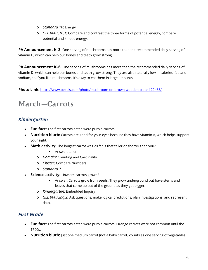- o *Standard 10:* Energy
- o *GLE 0607.10.1:* Compare and contrast the three forms of potential energy, compare potential and kinetic energy.

**PA Announcement K–3:** One serving of mushrooms has more than the recommended daily serving of vitamin D, which can help our bones and teeth grow strong.

**PA Announcement K-6:** One serving of mushrooms has more than the recommended daily serving of vitamin D, which can help our bones and teeth grow strong. They are also naturally low in calories, fat, and sodium, so if you like mushrooms, it's okay to eat them in large amounts.

**Photo Link:** [https://www.pexels.com/photo/mushroom-on-brown-wooden-plate-129465/](https://email.vanderbilt.edu/owa/redir.aspx?C=cFh9g4xF6TVI0wZBUKtuMNrkjbW0qFP_ZcoEuNTXxVWkk_AZQXzUCA..&URL=https%3a%2f%2fwww.pexels.com%2fphoto%2fmushroom-on-brown-wooden-plate-129465%2f)

# **March—Carrots**

#### *Kindergarten*

- **Fun fact:** The first carrots eaten were purple carrots.
- **Nutrition blurb:** Carrots are good for your eyes because they have vitamin A, which helps support your sight.
- Math activity: The longest carrot was 20 ft.; is that taller or shorter than you?
	- **Answer: taller**
	- o *Domain:* Counting and Cardinality
	- o *Cluster:* Compare Numbers
	- o *Standard 7*
- **Science activity:** How are carrots grown?
	- Answer: Carrots grow from seeds. They grow underground but have stems and leaves that come up out of the ground as they get bigger.
	- o *Kindergarten:* Embedded Inquiry
	- o *GLE 0007.Inq.2:* Ask questions, make logical predictions, plan investigations, and represent data.

#### *First Grade*

- **Fun fact:** The first carrots eaten were purple carrots. Orange carrots were not common until the 1700s.
- **Nutrition blurb:** Just one medium carrot (not a baby carrot) counts as one serving of vegetables.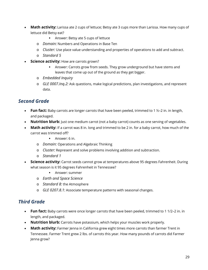- **Math activity:** Larissa ate 2 cups of lettuce; Betsy ate 3 cups more than Larissa. How many cups of lettuce did Betsy eat?
	- **Answer: Betsy ate 5 cups of lettuce**
	- o *Domain:* Numbers and Operations in Base Ten
	- o *Cluster:* Use place value understanding and properties of operations to add and subtract.
	- o *Standard 5*
- **Science activity:** How are carrots grown?
	- Answer: Carrots grow from seeds. They grow underground but have stems and leaves that come up out of the ground as they get bigger.
	- o *Embedded Inquiry*
	- o *GLE 0007.Inq.2:* Ask questions, make logical predictions, plan investigations, and represent data.

#### *Second Grade*

- **Fun fact:** Baby carrots are longer carrots that have been peeled, trimmed to 1 ½–2 in. in length, and packaged.
- **Nutrition blurb:** Just one medium carrot (not a baby carrot) counts as one serving of vegetables.
- **Math activity:** If a carrot was 8 in. long and trimmed to be 2 in. for a baby carrot, how much of the carrot was trimmed off?
	- **Answer: 6 in.**
	- o *Domain:* Operations and Algebraic Thinking
	- o *Cluster:* Represent and solve problems involving addition and subtraction.
	- o *Standard 1*
- **Science activity:** Carrot seeds cannot grow at temperatures above 95 degrees Fahrenheit. During what season is it 95 degrees Fahrenheit in Tennessee?
	- Answer: summer
	- o *Earth and Space Science*
	- o *Standard 8:* the Atmosphere
	- o *GLE 0207.8.1:* Associate temperature patterns with seasonal changes.

#### *Third Grade*

- **Fun fact:** Baby carrots were once longer carrots that have been peeled, trimmed to 1 1/2–2 in. in length, and packaged.
- **Nutrition blurb:** Carrots have potassium, which helps your muscles work properly.
- **Math activity:** Farmer Jenna in California grew eight times more carrots than farmer Trent in Tennessee. Farmer Trent grew 2 lbs. of carrots this year. How many pounds of carrots did Farmer Jenna grow?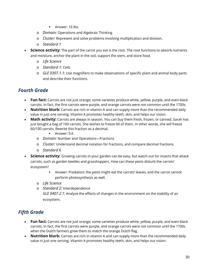- **Answer: 16 lbs.**
- o *Domain:* Operations and Algebraic Thinking
- o *Cluster:* Represent and solve problems involving multiplication and division.
- o *Standard 1*
- **Science activity:** The part of the carrot you eat is the root. The root functions to absorb nutrients and moisture, anchor the plant in the soil, support the stem, and store food.
	- o *Life Science*
	- o *Standard 1:* Cells
	- o *GLE 0307.1.1:* Use magnifiers to make observations of specific plant and animal body parts and describe their functions.

#### *Fourth Grade*

- **Fun fact:** Carrots are not just orange; some varieties produce white, yellow, purple, and even black carrots. In fact, the first carrots were purple, and orange carrots were not common until the 1700s.
- **Nutrition blurb:** Carrots are rich in vitamin A and can supply more than the recommended daily value in just one serving. Vitamin A promotes healthy teeth, skin, and helps our vision.
- **Math activity:** Carrots are always in season. You can buy them fresh, frozen, or canned. Sarah has just bought a bag of 100 carrots. She wishes to freeze 60 of them. In other words, she will freeze 60/100 carrots. Rewrite this fraction as a decimal.
	- **Answer: 0.6**
	- o *Domain:* Number and Operations—Fractions
	- o *Cluster:* Understand decimal notation for fractions, and compare decimal fractions.
	- o *Standard 6*
- **Science activity:** Growing carrots in your garden can be easy, but watch out for insects that attack carrots, such as garden beetles and grasshoppers. How can these pests disturb the carrots' ecosystem?
	- Answer: Predation; the pests might eat the carrots' leaves, and the carrot cannot perform photosynthesis as well.
	- o *Life Science*
	- o *Standard 2:* Interdependence *GLE 0407.2.1:* Analyze the effects of changes in the environment on the stability of an ecosystem.

- **Fun fact:** Carrots are not just orange; some varieties produce white, yellow, purple, and even black carrots. In fact, the first carrots were purple, and orange carrots were not common until the 1700s when the Dutch farmers grew them to match the orange Dutch flag.
- **Nutrition blurb:** Carrots are rich in vitamin A and can supply more than the recommended daily value in just one serving. Vitamin A promotes healthy teeth, skin, and helps our vision.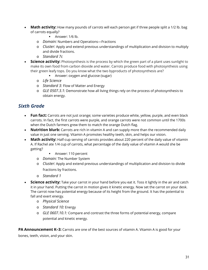- **Math activity:** How many pounds of carrots will each person get if three people split a 1/2 lb. bag of carrots equally?
	- $\blacksquare$  Answer: 1/6 lb.
	- o *Domain:* Numbers and Operations—Fractions
	- o *Cluster:* Apply and extend previous understandings of multiplication and division to multiply and divide fractions.
	- o *Standard 7c*
- **Science activity:** Photosynthesis is the process by which the green part of a plant uses sunlight to make its own food from carbon dioxide and water. Carrots produce food with photosynthesis using their green leafy tops. Do you know what the two byproducts of photosynthesis are?
	- **Answer: oxygen and glucose (sugar)**
	- o *Life Science*
	- o *Standard 3:* Flow of Matter and Energy
	- o *GLE 0507.3.1:* Demonstrate how all living things rely on the process of photosynthesis to obtain energy.

#### *Sixth Grade*

- **Fun fact:** Carrots are not just orange; some varieties produce white, yellow, purple, and even black carrots. In fact, the first carrots were purple, and orange carrots were not common until the 1700s when the Dutch farmers grew them to match the orange Dutch flag.
- **Nutrition blurb:** Carrots are rich in vitamin A and can supply more than the recommended daily value in just one serving. Vitamin A promotes healthy teeth, skin, and helps our vision.
- Math activity: Half-cup serving of carrots provides about 220 percent of the daily value of vitamin A. If Rachel ate 1/4 cup of carrots, what percentage of the daily value of vitamin A would she be getting?
	- **Answer: 110 percent**
	- o *Domain:* The Number System
	- o *Cluster:* Apply and extend previous understandings of multiplication and division to divide fractions by fractions.
	- o *Standard 1*
- **Science activity:** Take your carrot in your hand before you eat it. Toss it lightly in the air and catch it in your hand. Putting the carrot in motion gives it kinetic energy. Now set the carrot on your desk. The carrot now has potential energy because of its height from the ground. It has the potential to fall and exert energy.
	- o *Physical Science*
	- o *Standard 10:* Energy
	- o *GLE 0607.10.1:* Compare and contrast the three forms of potential energy, compare potential and kinetic energy.

**PA Announcement K–3:** Carrots are one of the best sources of vitamin A. Vitamin A is good for your bones, teeth, vision, and your skin.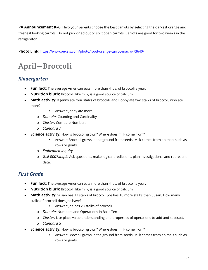**PA Announcement K–6:** Help your parents choose the best carrots by selecting the darkest orange and freshest looking carrots. Do not pick dried out or split open carrots. Carrots are good for two weeks in the refrigerator.

**Photo Link:** [https://www.pexels.com/photo/food-orange-carrot-macro-73640/](https://email.vanderbilt.edu/owa/redir.aspx?C=B-lQAE7SGPDhqDHl_VbxPhQjbd2elsyuAPqTNWyQi0ukk_AZQXzUCA..&URL=https%3a%2f%2fwww.pexels.com%2fphoto%2ffood-orange-carrot-macro-73640%2f)

# **April—Broccoli**

#### *Kindergarten*

- **Fun fact:** The average American eats more than 4 lbs. of broccoli a year.
- **Nutrition blurb:** Broccoli, like milk, is a good source of calcium.
- Math activity: If Jenny ate four stalks of broccoli, and Bobby ate two stalks of broccoli, who ate more?
	- **Answer: Jenny ate more.**
	- o *Domain:* Counting and Cardinality
	- o *Cluster:* Compare Numbers
	- o *Standard 7*
- **Science activity:** How is broccoli grown? Where does milk come from?
	- Answer: Broccoli grows in the ground from seeds. Milk comes from animals such as cows or goats.
	- o *Embedded Inquiry*
	- o *GLE 0007.Inq.2:* Ask questions, make logical predictions, plan investigations, and represent data.

#### *First Grade*

- **Fun fact:** The average American eats more than 4 lbs. of broccoli a year.
- **Nutrition blurb:** Broccoli, like milk, is a good source of calcium.
- **Math activity:** Susan has 13 stalks of broccoli. Joe has 10 more stalks than Susan. How many stalks of broccoli does Joe have?
	- Answer: Joe has 23 stalks of broccoli.
	- o *Domain:* Numbers and Operations in Base Ten
	- o *Cluster:* Use place value understanding and properties of operations to add and subtract.
	- o *Standard 5*
- **Science activity:** How is broccoli grown? Where does milk come from?
	- Answer: Broccoli grows in the ground from seeds. Milk comes from animals such as cows or goats.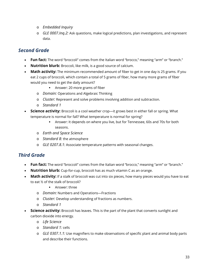- o *Embedded Inquiry*
- o *GLE 0007.Inq.2:* Ask questions, make logical predictions, plan investigations, and represent data.

#### *Second Grade*

- **Fun fact:** The word "broccoli" comes from the Italian word "brocco," meaning "arm" or "branch."
- **Nutrition blurb:** Broccoli, like milk, is a good source of calcium.
- Math activity: The minimum recommended amount of fiber to get in one day is 25 grams. If you eat 2 cups of broccoli, which contain a total of 5 grams of fiber, how many more grams of fiber would you need to get the daily amount?
	- **Answer: 20 more grams of fiber**
	- o *Domain:* Operations and Algebraic Thinking
	- o *Cluster:* Represent and solve problems involving addition and subtraction.
	- o *Standard 1*
- **Science activity:** Broccoli is a cool weather crop—it grows best in either fall or spring. What temperature is normal for fall? What temperature is normal for spring?
	- Answer: It depends on where you live, but for Tennessee, 60s and 70s for both seasons.
	- o *Earth and Space Science*
	- o *Standard 8:* the atmosphere
	- o *GLE 0207.8.1:* Associate temperature patterns with seasonal changes.

#### *Third Grade*

- **Fun fact:** The word "broccoli" comes from the Italian word "brocco," meaning "arm" or "branch."
- **Nutrition blurb:** Cup-for-cup, broccoli has as much vitamin C as an orange.
- **Math activity:** If a stalk of broccoli was cut into six pieces, how many pieces would you have to eat to eat ½ of the stalk of broccoli?
	- **Answer: three**
	- o *Domain:* Numbers and Operations—Fractions
	- o *Cluster:* Develop understanding of fractions as numbers.
	- o *Standard 1*
- **Science activity:** Broccoli has leaves. This is the part of the plant that converts sunlight and carbon dioxide into energy.
	- o *Life Science*
	- o *Standard 1:* cells
	- o *GLE 0307.1.1:* Use magnifiers to make observations of specific plant and animal body parts and describe their functions.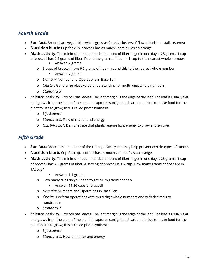#### *Fourth Grade*

- **Fun fact:** Broccoli are vegetables which grow as florets (clusters of flower buds) on stalks (stems).
- **Nutrition blurb:** Cup-for-cup, broccoli has as much vitamin C as an orange.
- **Math activity:** The minimum recommended amount of fiber to get in one day is 25 grams. 1 cup of broccoli has 2.2 grams of fiber. Round the grams of fiber in 1 cup to the nearest whole number.
	- **Answer: 2 grams**
	- o 3 cups of broccoli have 6.6 grams of fiber—round this to the nearest whole number.
		- **Answer: 7 grams**
	- o *Domain:* Number and Operations in Base Ten
	- o *Cluster:* Generalize place value understanding for multi- digit whole numbers.
	- o *Standard 3*
- **Science activity:** Broccoli has leaves. The leaf margin is the edge of the leaf. The leaf is usually flat and grows from the stem of the plant. It captures sunlight and carbon dioxide to make food for the plant to use to grow; this is called photosynthesis.
	- o *Life Science*
	- o *Standard 3:* Flow of matter and energy
	- o *GLE 0407.3.1:* Demonstrate that plants require light energy to grow and survive.

- **Fun fact:** Broccoli is a member of the cabbage family and may help prevent certain types of cancer.
- **Nutrition blurb:** Cup-for-cup, broccoli has as much vitamin C as an orange.
- **Math activity:** The minimum recommended amount of fiber to get in one day is 25 grams. 1 cup of broccoli has 2.2 grams of fiber. A serving of broccoli is 1/2 cup. How many grams of fiber are in 1/2 cup?
	- Answer: 1.1 grams
	- o How many cups do you need to get all 25 grams of fiber?
		- **Answer: 11.36 cups of broccoli**
	- o *Domain:* Numbers and Operations in Base Ten
	- o *Cluster:* Perform operations with multi-digit whole numbers and with decimals to hundredths.
	- o *Standard 7*
- **Science activity:** Broccoli has leaves. The leaf margin is the edge of the leaf. The leaf is usually flat and grows from the stem of the plant. It captures sunlight and carbon dioxide to make food for the plant to use to grow; this is called photosynthesis.
	- o *Life Science*
	- o *Standard 3:* Flow of matter and energy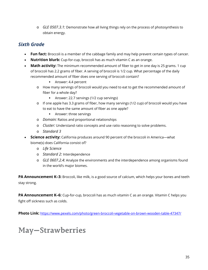o *GLE 0507.3.1:* Demonstrate how all living things rely on the process of photosynthesis to obtain energy.

#### *Sixth Grade*

- **Fun fact:** Broccoli is a member of the cabbage family and may help prevent certain types of cancer.
- **Nutrition blurb:** Cup-for-cup, broccoli has as much vitamin C as an orange.
- Math activity: The minimum recommended amount of fiber to get in one day is 25 grams. 1 cup of broccoli has 2.2 grams of fiber. A serving of broccoli is 1/2 cup. What percentage of the daily recommended amount of fiber does one serving of broccoli contain?
	- **Answer: 4.4 percent**
	- o How many servings of broccoli would you need to eat to get the recommended amount of fiber for a whole day?
		- Answer: 22.7 servings (1/2 cup servings)
	- o If one apple has 3.3 grams of fiber, how many servings (1/2 cup) of broccoli would you have to eat to have the same amount of fiber as one apple?
		- **Answer: three servings**
	- o *Domain:* Ratios and proportional relationships
	- o *Cluster:* Understand ratio concepts and use ratio reasoning to solve problems.
	- o *Standard 3*
- **Science activity:** California produces around 90 percent of the broccoli in America—what biome(s) does California consist of?
	- o *Life Science*
	- o *Standard 2:* Interdependence
	- o *GLE 0607.2.4:* Analyze the environments and the interdependence among organisms found in the world's major biomes.

**PA Announcement K–3:** Broccoli, like milk, is a good source of calcium, which helps your bones and teeth stay strong.

**PA Announcement K–6:** Cup-for-cup, broccoli has as much vitamin C as an orange. Vitamin C helps you fight off sickness such as colds.

**Photo Link:** [https://www.pexels.com/photo/green-broccoli-vegetable-on-brown-wooden-table-47347/](https://email.vanderbilt.edu/owa/redir.aspx?C=XSFxNPCojsF4Cb7SsHhZcuGj0tVQHOzh8HMeD53ulHikk_AZQXzUCA..&URL=https%3a%2f%2fwww.pexels.com%2fphoto%2fgreen-broccoli-vegetable-on-brown-wooden-table-47347%2f)

### **May—Strawberries**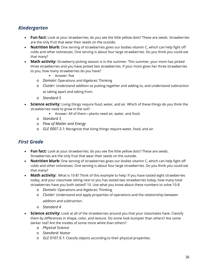#### *Kindergarten*

- **Fun fact:** Look at your strawberries; do you see the little yellow dots? These are seeds. Strawberries are the only fruit that wear their seeds on the outside.
- **Nutrition blurb:** One serving of strawberries gives our bodies vitamin C, which can help fight off colds and other sicknesses. One serving is about four large strawberries. Do you think you could eat that many?
- **Math activity:** Strawberry picking season is in the summer. This summer, your mom has picked three strawberries and you have picked two strawberries. If your mom gives her three strawberries to you, how many strawberries do you have?
	- **Answer: five**
	- o *Domain:* Operations and Algebraic Thinking
	- o *Cluster:* Understand addition as putting together and adding to, and understand subtraction as taking apart and taking from.
	- o *Standard 5*
- **Science activity:** Living things require food, water, and air. Which of these things do you think the strawberries need to grow in the soil?
	- Answer: All of them—plants need air, water, and food.
	- o *Standard 3*
	- o *Flow of Matter and Energy*
	- o *GLE 0007.3.1:* Recognize that living things require water, food, and air.

#### *First Grade*

- **Fun fact:** Look at your strawberries; do you see the little yellow dots? These are seeds. Strawberries are the only fruit that wear their seeds on the outside.
- **Nutrition blurb:** One serving of strawberries gives our bodies vitamin C, which can help fight off colds and other sicknesses. One serving is about four large strawberries. Do you think you could eat that many?
- Math activity: What is 10-8? Think of this example to help: If you have tasted eight strawberries today, and your classmate sitting next to you has tasted two strawberries today, how many total strawberries have you both tasted? 10. Use what you know about these numbers to solve 10-8.
	- o *Domain:* Operations and Algebraic Thinking
	- o *Cluster:* Understand and apply properties of operations and the relationship between addition and subtraction.
	- o *Standard 4*
- **Science activity:** Look at all of the strawberries around you that your classmates have. Classify them by differences in shape, color, and texture. Do some look bumpier than others? Are some darker red? Are the insides of some more white than others?
	- o *Physical Science*
	- o *Standard:* Matter
	- o *GLE 0107.9.1:* Classify objects according to their physical properties.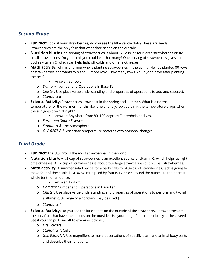#### *Second Grade*

- **Fun fact:** Look at your strawberries; do you see the little yellow dots? These are seeds. Strawberries are the only fruit that wear their seeds on the outside.
- **Nutrition blurb:** One serving of strawberries is about 1/2 cup, or four large strawberries or six small strawberries. Do you think you could eat that many? One serving of strawberries gives our bodies vitamin C, which can help fight off colds and other sicknesses.
- **Math activity:** John is a farmer who is planting strawberries in the spring. He has planted 80 rows of strawberries and wants to plant 10 more rows. How many rows would John have after planting the rest?
	- **Answer: 90 rows**
	- o *Domain:* Number and Operations in Base Ten
	- o *Cluster:* Use place value understanding and properties of operations to add and subtract.
	- o *Standard 8*
- **Science Activity:** Strawberries grow best in the spring and summer. What is a normal temperature for the warmer months like June and July? Do you think the temperature drops when the sun goes down at night?
	- Answer: Anywhere from 80–100 degrees Fahrenheit, and yes.
	- o *Earth and Space Science*
	- o *Standard 8:* The Atmosphere
	- o *GLE 0207.8.1:* Associate temperature patterns with seasonal changes.

#### *Third Grade*

- **Fun fact:** The U.S. grows the most strawberries in the world.
- **Nutrition blurb:** A 1⁄2 cup of strawberries is an excellent source of vitamin C, which helps us fight off sicknesses. A 1⁄2 cup of strawberries is about four large strawberries or six small strawberries.
- **Math activity:** A summer salad recipe for a party calls for 4.34 oz. of strawberries. Jack is going to make four of these salads. 4.34 oz. multiplied by four is 17.36 oz. Round the ounces to the nearest whole tenth of an ounce.
	- $\blacksquare$  Answer: 17.4 oz.
	- o *Domain:* Number and Operations in Base Ten
	- o *Cluster:* Use place value understanding and properties of operations to perform multi-digit arithmetic. (A range of algorithms may be used.)
	- o *Standard 1*
- **Science Activity:** Do you see the little seeds on the outside of the strawberry? Strawberries are the only fruit that have their seeds on the outside. Use your magnifier to look closely at these seeds. See if you can pull one off to examine it closer.
	- o *Life Science*
	- o *Standard 1:* Cells
	- o *GLE 0307.1.1:* Use magnifiers to make observations of specific plant and animal body parts and describe their functions.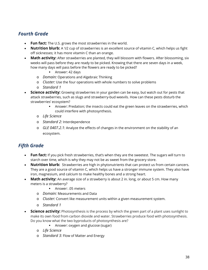#### *Fourth Grade*

- **Fun fact:** The U.S. grows the most strawberries in the world.
- **Nutrition blurb:** A 1⁄2 cup of strawberries is an excellent source of vitamin C, which helps us fight off sicknesses; it has more vitamin C than an orange.
- Math activity: After strawberries are planted, they will blossom with flowers. After blossoming, six weeks will pass before they are ready to be picked. Knowing that there are seven days in a week, how many days will pass before the flowers are ready to be picked?
	- **Answer: 42 days**
	- o *Domain:* Operations and Algebraic Thinking
	- o *Cluster:* Use the four operations with whole numbers to solve problems
	- o *Standard 1*
- **Science activity:** Growing strawberries in your garden can be easy, but watch out for pests that attack strawberries, such as slugs and strawberry-bud weevils. How can these pests disturb the strawberries' ecosystem?
	- Answer: Predation; the insects could eat the green leaves on the strawberries, which could interfere with photosynthesis.
	- o *Life Science*
	- o *Standard 2:* Interdependence
	- o *GLE 0407.2.1:* Analyze the effects of changes in the environment on the stability of an ecosystem.

- **Fun fact:** If you pick fresh strawberries, that's when they are the sweetest. The sugars will turn to starch over time, which is why they may not be as sweet from the grocery store.
- **Nutrition blurb:** Strawberries are high in phytonutrients that can protect us from certain cancers. They are a good source of vitamin C, which helps us have a stronger immune system. They also have iron, magnesium, and calcium to make healthy bones and a strong heart.
- **Math activity:** An average size of a strawberry is about 2 in. long, or about 5 cm. How many meters is a strawberry?
	- **Answer: 05 meters**
	- o *Domain:* Measurements and Data
	- o *Cluster:* Convert like measurement units within a given measurement system.
	- o *Standard 1*
- **Science activity:** Photosynthesis is the process by which the green part of a plant uses sunlight to make its own food from carbon dioxide and water. Strawberries produce food with photosynthesis. Do you know what the two byproducts of photosynthesis are?
	- **Answer: oxygen and glucose (sugar)**
	- o *Life Science*
	- o *Standard 3:* Flow of Matter and Energy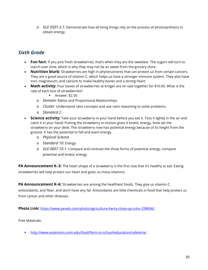o *GLE 0507.3.1:* Demonstrate how all living things rely on the process of photosynthesis to obtain energy.

#### *Sixth Grade*

- **Fun fact:** If you pick fresh strawberries, that's when they are the sweetest. The sugars will turn to starch over time, which is why they may not be as sweet from the grocery store.
- **Nutrition blurb:** Strawberries are high in phytonutrients that can protect us from certain cancers. They are a good source of vitamin C, which helps us have a stronger immune system. They also have iron, magnesium, and calcium to make healthy bones and a strong heart.
- **Math activity:** Four boxes of strawberries at Kroger are on sale together for \$10.00. What is the rate of each box of strawberries?
	- Answer: \$2.50
	- o *Domain:* Ratios and Proportional Relationships
	- o *Cluster:* Understand ratio concepts and use ratio reasoning to solve problems.
	- o *Standard 2*
- **Science activity:** Take your strawberry in your hand before you eat it. Toss it lightly in the air and catch it in your hand. Putting the strawberry in motion gives it kinetic energy. Now set the strawberry on your desk. The strawberry now has potential energy because of its height from the ground. It has the potential to fall and exert energy.
	- o *Physical Science*
	- o *Standard 10:* Energy
	- o *GLE 0607.10.1:* Compare and contrast the three forms of potential energy, compare potential and kinetic energy.

**PA Announcement K-3:** The heart shape of a strawberry is the first clue that it's healthy to eat. Eating strawberries will help protect our heart and gives us many vitamins.

**PA Announcement K–6:** Strawberries are among the healthiest foods. They give us vitamin C,

antioxidants, and fiber, and don't have any fat. Antioxidants are little chemicals in food that help protect us from cancer and other illnesses.

**Photo Link:** [https://www.pexels.com/photo/agriculture-berry-close-up-color-298696/](https://email.vanderbilt.edu/owa/redir.aspx?C=1YxLDyTx8zK28JWBnQUMH1fZgOzVnJawdMdFMA9p0c2kk_AZQXzUCA..&URL=https%3a%2f%2fwww.pexels.com%2fphoto%2fagriculture-berry-close-up-color-298696%2f)

Free Materials:

[http://www.extension.umn.edu/food/farm-to-school/education/cafeteria/](http://harvestofthemonth.cdph.ca.gov/Pages/default.aspx)